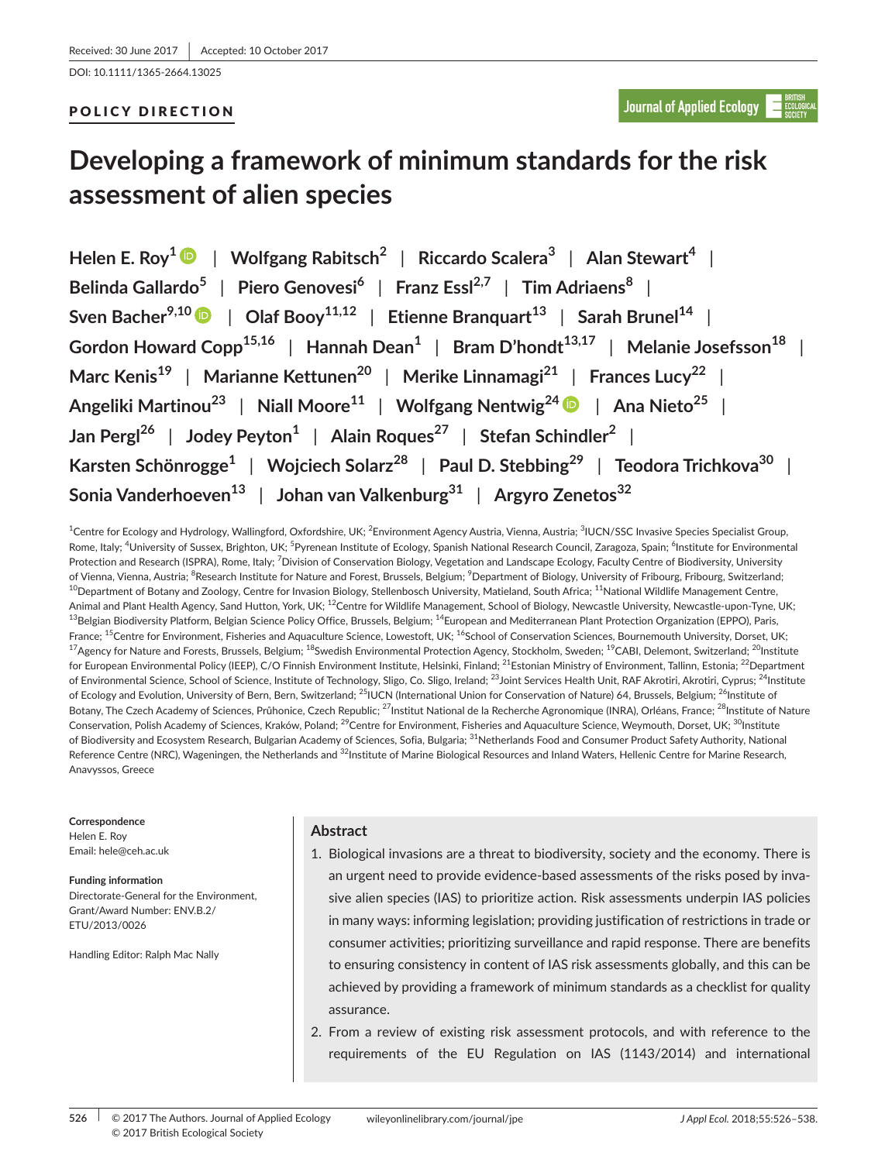DOI: 10.1111/1365-2664.13025

## POLICY DIRECTION

# **Developing a framework of minimum standards for the risk assessment of alien species**

**Helen E. Roy<sup>1</sup>** | **Wolfgang Rabitsch<sup>2</sup>** | **Riccardo Scalera<sup>3</sup>** | **Alan Stewart<sup>4</sup>** | **Belinda Gallardo<sup>5</sup>** | **Piero Genovesi<sup>6</sup>** | **Franz Essl2,7** | **Tim Adriaens<sup>8</sup>** | **Sven Bacher9,10** | **Olaf Booy11,12** | **Etienne Branquart<sup>13</sup>** | **Sarah Brunel<sup>14</sup>** | **Gordon Howard Copp15,16** | **Hannah Dean<sup>1</sup>** | **Bram D'hondt13,17** | **Melanie Josefsson<sup>18</sup>** | **Marc Kenis<sup>19</sup>** | **Marianne Kettunen<sup>20</sup>** | **Merike Linnamagi<sup>21</sup>** | **Frances Lucy<sup>22</sup>** | **Angeliki Martinou<sup>23</sup>** | **Niall Moore<sup>11</sup>** | **Wolfgang Nentwig2[4](http://orcid.org/0000-0001-9682-8483)** | **Ana Nieto<sup>25</sup>** | **Jan Pergl<sup>26</sup>** | **Jodey Peyton<sup>1</sup>** | **Alain Roques<sup>27</sup>** | **Stefan Schindler<sup>2</sup>** | **Karsten Schönrogge<sup>1</sup>** | **Wojciech Solarz<sup>28</sup>** | **Paul D. Stebbing<sup>29</sup>** | **Teodora Trichkova<sup>30</sup>** | **Sonia Vanderhoeven<sup>13</sup>** | **Johan van Valkenburg<sup>31</sup>** | **Argyro Zenetos<sup>32</sup>**

 $^{\rm 1}$ Centre for Ecology and Hydrology, Wallingford, Oxfordshire, UK;  $^{\rm 2}$ Environment Agency Austria, Vienna, Austria;  $^{\rm 3}$ IUCN/SSC Invasive Species Specialist Group, Rome, Italy; <sup>4</sup>University of Sussex, Brighton, UK; <sup>5</sup>Pyrenean Institute of Ecology, Spanish National Research Council, Zaragoza, Spain; <sup>6</sup>Institute for Environmental Protection and Research (ISPRA), Rome, Italy; <sup>7</sup>Division of Conservation Biology, Vegetation and Landscape Ecology, Faculty Centre of Biodiversity, University of Vienna, Vienna, Austria; <sup>8</sup>Research Institute for Nature and Forest, Brussels, Belgium; <sup>9</sup>Department of Biology, University of Fribourg, Fribourg, Switzerland; <sup>10</sup>Department of Botany and Zoology, Centre for Invasion Biology, Stellenbosch University, Matieland, South Africa; <sup>11</sup>National Wildlife Management Centre, Animal and Plant Health Agency, Sand Hutton, York, UK; <sup>12</sup>Centre for Wildlife Management, School of Biology, Newcastle University, Newcastle-upon-Tyne, UK;  $^{13}$ Belgian Biodiversity Platform, Belgian Science Policy Office, Brussels, Belgium;  $^{14}$ European and Mediterranean Plant Protection Organization (EPPO), Paris, France; <sup>15</sup>Centre for Environment, Fisheries and Aquaculture Science, Lowestoft, UK; <sup>16</sup>School of Conservation Sciences, Bournemouth University, Dorset, UK; <sup>17</sup>Agency for Nature and Forests, Brussels, Belgium; <sup>18</sup>Swedish Environmental Protection Agency, Stockholm, Sweden; <sup>19</sup>CABI, Delemont, Switzerland; <sup>20</sup>Institute for European Environmental Policy (IEEP), C/O Finnish Environment Institute, Helsinki, Finland; <sup>21</sup>Estonian Ministry of Environment, Tallinn, Estonia; <sup>22</sup>Department of Environmental Science, School of Science, Institute of Technology, Sligo, Co. Sligo, Ireland; <sup>23</sup>Joint Services Health Unit, RAF Akrotiri, Akrotiri, Cyprus; <sup>24</sup>Institute of Ecology and Evolution, University of Bern, Bern, Switzerland; <sup>25</sup>IUCN (International Union for Conservation of Nature) 64, Brussels, Belgium; <sup>26</sup>Institute of Botany, The Czech Academy of Sciences, Průhonice, Czech Republic; <sup>27</sup>Institut National de la Recherche Agronomique (INRA), Orléans, France; <sup>28</sup>Institute of Nature Conservation, Polish Academy of Sciences, Kraków, Poland; <sup>29</sup>Centre for Environment, Fisheries and Aquaculture Science, Weymouth, Dorset, UK; <sup>30</sup>Institute of Biodiversity and Ecosystem Research, Bulgarian Academy of Sciences, Sofia, Bulgaria; <sup>31</sup>Netherlands Food and Consumer Product Safety Authority, National Reference Centre (NRC), Wageningen, the Netherlands and <sup>32</sup>Institute of Marine Biological Resources and Inland Waters, Hellenic Centre for Marine Research, Anavyssos, Greece

**Correspondence**

Helen E. Roy Email: [hele@ceh.ac.uk](mailto:hele@ceh.ac.uk)

**Funding information** Directorate-General for the Environment, Grant/Award Number: ENV.B.2/ ETU/2013/0026

Handling Editor: Ralph Mac Nally

## **Abstract**

- 1. Biological invasions are a threat to biodiversity, society and the economy. There is an urgent need to provide evidence-based assessments of the risks posed by invasive alien species (IAS) to prioritize action. Risk assessments underpin IAS policies in many ways: informing legislation; providing justification of restrictions in trade or consumer activities; prioritizing surveillance and rapid response. There are benefits to ensuring consistency in content of IAS risk assessments globally, and this can be achieved by providing a framework of minimum standards as a checklist for quality assurance.
- 2. From a review of existing risk assessment protocols, and with reference to the requirements of the EU Regulation on IAS (1143/2014) and international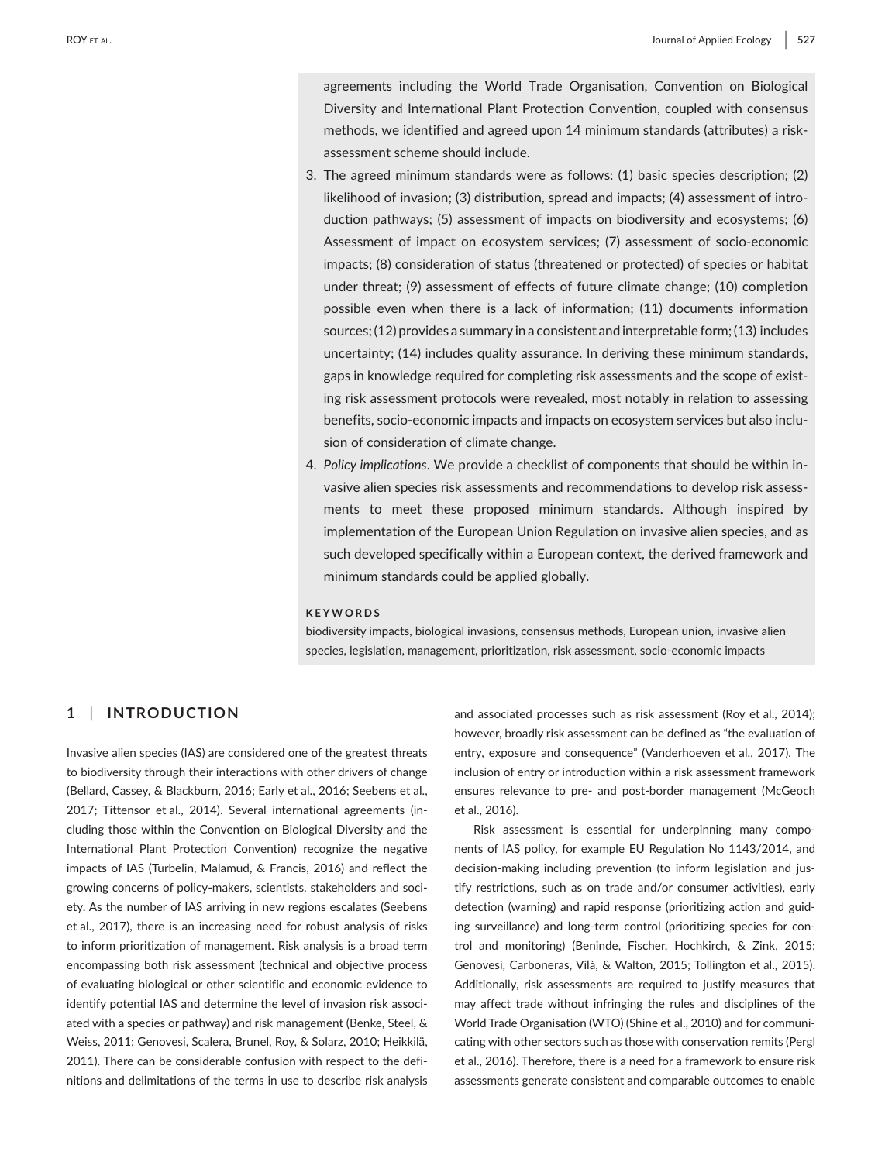agreements including the World Trade Organisation, Convention on Biological Diversity and International Plant Protection Convention, coupled with consensus methods, we identified and agreed upon 14 minimum standards (attributes) a riskassessment scheme should include.

- 3. The agreed minimum standards were as follows: (1) basic species description; (2) likelihood of invasion; (3) distribution, spread and impacts; (4) assessment of introduction pathways; (5) assessment of impacts on biodiversity and ecosystems; (6) Assessment of impact on ecosystem services; (7) assessment of socio-economic impacts; (8) consideration of status (threatened or protected) of species or habitat under threat; (9) assessment of effects of future climate change; (10) completion possible even when there is a lack of information; (11) documents information sources; (12) provides a summary in a consistent and interpretable form; (13) includes uncertainty; (14) includes quality assurance. In deriving these minimum standards, gaps in knowledge required for completing risk assessments and the scope of existing risk assessment protocols were revealed, most notably in relation to assessing benefits, socio-economic impacts and impacts on ecosystem services but also inclusion of consideration of climate change.
- 4. *Policy implications*. We provide a checklist of components that should be within invasive alien species risk assessments and recommendations to develop risk assessments to meet these proposed minimum standards. Although inspired by implementation of the European Union Regulation on invasive alien species, and as such developed specifically within a European context, the derived framework and minimum standards could be applied globally.

#### **KEYWORDS**

biodiversity impacts, biological invasions, consensus methods, European union, invasive alien species, legislation, management, prioritization, risk assessment, socio-economic impacts

## **1** | **INTRODUCTION**

Invasive alien species (IAS) are considered one of the greatest threats to biodiversity through their interactions with other drivers of change (Bellard, Cassey, & Blackburn, 2016; Early et al., 2016; Seebens et al., 2017; Tittensor et al., 2014). Several international agreements (including those within the Convention on Biological Diversity and the International Plant Protection Convention) recognize the negative impacts of IAS (Turbelin, Malamud, & Francis, 2016) and reflect the growing concerns of policy-makers, scientists, stakeholders and society. As the number of IAS arriving in new regions escalates (Seebens et al., 2017), there is an increasing need for robust analysis of risks to inform prioritization of management. Risk analysis is a broad term encompassing both risk assessment (technical and objective process of evaluating biological or other scientific and economic evidence to identify potential IAS and determine the level of invasion risk associated with a species or pathway) and risk management (Benke, Steel, & Weiss, 2011; Genovesi, Scalera, Brunel, Roy, & Solarz, 2010; Heikkilä, 2011). There can be considerable confusion with respect to the definitions and delimitations of the terms in use to describe risk analysis

and associated processes such as risk assessment (Roy et al., 2014); however, broadly risk assessment can be defined as "the evaluation of entry, exposure and consequence" (Vanderhoeven et al., 2017). The inclusion of entry or introduction within a risk assessment framework ensures relevance to pre- and post-border management (McGeoch et al., 2016).

Risk assessment is essential for underpinning many components of IAS policy, for example EU Regulation No 1143/2014, and decision-making including prevention (to inform legislation and justify restrictions, such as on trade and/or consumer activities), early detection (warning) and rapid response (prioritizing action and guiding surveillance) and long-term control (prioritizing species for control and monitoring) (Beninde, Fischer, Hochkirch, & Zink, 2015; Genovesi, Carboneras, Vilà, & Walton, 2015; Tollington et al., 2015). Additionally, risk assessments are required to justify measures that may affect trade without infringing the rules and disciplines of the World Trade Organisation (WTO) (Shine et al., 2010) and for communicating with other sectors such as those with conservation remits (Pergl et al., 2016). Therefore, there is a need for a framework to ensure risk assessments generate consistent and comparable outcomes to enable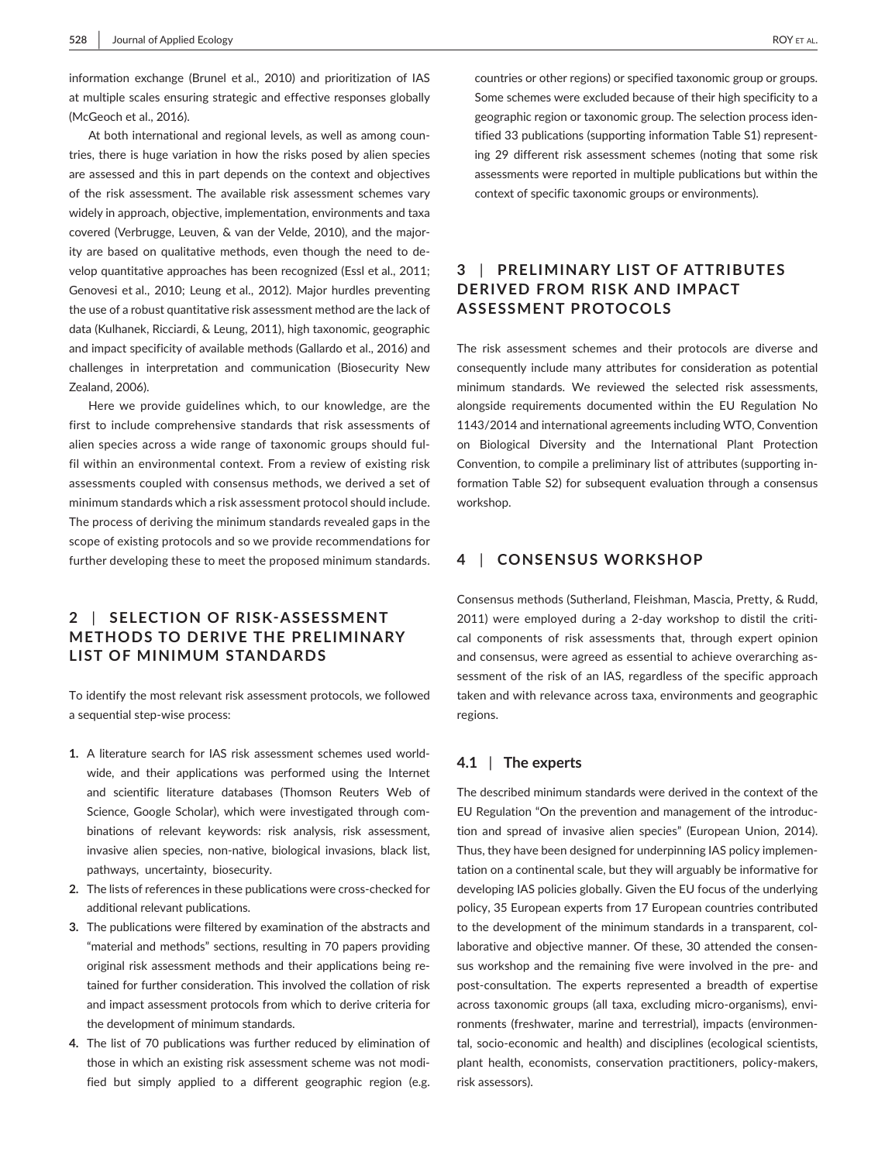information exchange (Brunel et al., 2010) and prioritization of IAS at multiple scales ensuring strategic and effective responses globally (McGeoch et al., 2016).

At both international and regional levels, as well as among countries, there is huge variation in how the risks posed by alien species are assessed and this in part depends on the context and objectives of the risk assessment. The available risk assessment schemes vary widely in approach, objective, implementation, environments and taxa covered (Verbrugge, Leuven, & van der Velde, 2010), and the majority are based on qualitative methods, even though the need to develop quantitative approaches has been recognized (Essl et al., 2011; Genovesi et al., 2010; Leung et al., 2012). Major hurdles preventing the use of a robust quantitative risk assessment method are the lack of data (Kulhanek, Ricciardi, & Leung, 2011), high taxonomic, geographic and impact specificity of available methods (Gallardo et al., 2016) and challenges in interpretation and communication (Biosecurity New Zealand, 2006).

Here we provide guidelines which, to our knowledge, are the first to include comprehensive standards that risk assessments of alien species across a wide range of taxonomic groups should fulfil within an environmental context. From a review of existing risk assessments coupled with consensus methods, we derived a set of minimum standards which a risk assessment protocol should include. The process of deriving the minimum standards revealed gaps in the scope of existing protocols and so we provide recommendations for further developing these to meet the proposed minimum standards.

## **2** | **SELECTION OF RISK-ASSESSMENT METHODS TO DERIVE THE PRELIMINARY LIST OF MINIMUM STANDARDS**

To identify the most relevant risk assessment protocols, we followed a sequential step-wise process:

- **1.** A literature search for IAS risk assessment schemes used worldwide, and their applications was performed using the Internet and scientific literature databases (Thomson Reuters Web of Science, Google Scholar), which were investigated through combinations of relevant keywords: risk analysis, risk assessment, invasive alien species, non-native, biological invasions, black list, pathways, uncertainty, biosecurity.
- **2.** The lists of references in these publications were cross-checked for additional relevant publications.
- **3.** The publications were filtered by examination of the abstracts and "material and methods" sections, resulting in 70 papers providing original risk assessment methods and their applications being retained for further consideration. This involved the collation of risk and impact assessment protocols from which to derive criteria for the development of minimum standards.
- **4.** The list of 70 publications was further reduced by elimination of those in which an existing risk assessment scheme was not modified but simply applied to a different geographic region (e.g.

countries or other regions) or specified taxonomic group or groups. Some schemes were excluded because of their high specificity to a geographic region or taxonomic group. The selection process identified 33 publications (supporting information Table S1) representing 29 different risk assessment schemes (noting that some risk assessments were reported in multiple publications but within the context of specific taxonomic groups or environments).

## **3** | **PRELIMINARY LIST OF ATTRIBUTES DERIVED FROM RISK AND IMPACT ASSESSMENT PROTOCOLS**

The risk assessment schemes and their protocols are diverse and consequently include many attributes for consideration as potential minimum standards. We reviewed the selected risk assessments, alongside requirements documented within the EU Regulation No 1143/2014 and international agreements including WTO, Convention on Biological Diversity and the International Plant Protection Convention, to compile a preliminary list of attributes (supporting information Table S2) for subsequent evaluation through a consensus workshop.

## **4** | **CONSENSUS WORKSHOP**

Consensus methods (Sutherland, Fleishman, Mascia, Pretty, & Rudd, 2011) were employed during a 2-day workshop to distil the critical components of risk assessments that, through expert opinion and consensus, were agreed as essential to achieve overarching assessment of the risk of an IAS, regardless of the specific approach taken and with relevance across taxa, environments and geographic regions.

#### **4.1** | **The experts**

The described minimum standards were derived in the context of the EU Regulation "On the prevention and management of the introduction and spread of invasive alien species" (European Union, 2014). Thus, they have been designed for underpinning IAS policy implementation on a continental scale, but they will arguably be informative for developing IAS policies globally. Given the EU focus of the underlying policy, 35 European experts from 17 European countries contributed to the development of the minimum standards in a transparent, collaborative and objective manner. Of these, 30 attended the consensus workshop and the remaining five were involved in the pre- and post-consultation. The experts represented a breadth of expertise across taxonomic groups (all taxa, excluding micro-organisms), environments (freshwater, marine and terrestrial), impacts (environmental, socio-economic and health) and disciplines (ecological scientists, plant health, economists, conservation practitioners, policy-makers, risk assessors).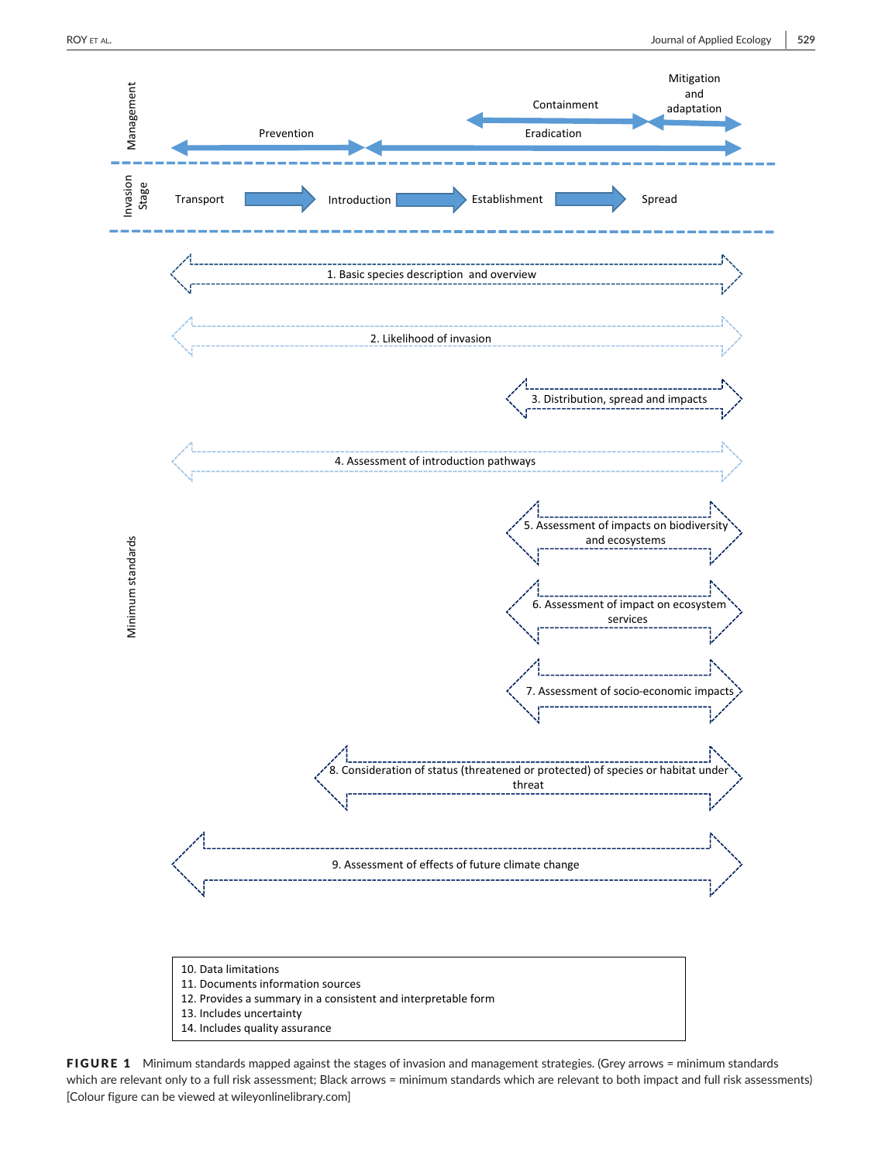

FIGURE 1 Minimum standards mapped against the stages of invasion and management strategies. (Grey arrows = minimum standards which are relevant only to a full risk assessment; Black arrows = minimum standards which are relevant to both impact and full risk assessments) [Colour figure can be viewed at [wileyonlinelibrary.com\]](www.wileyonlinelibrary.com)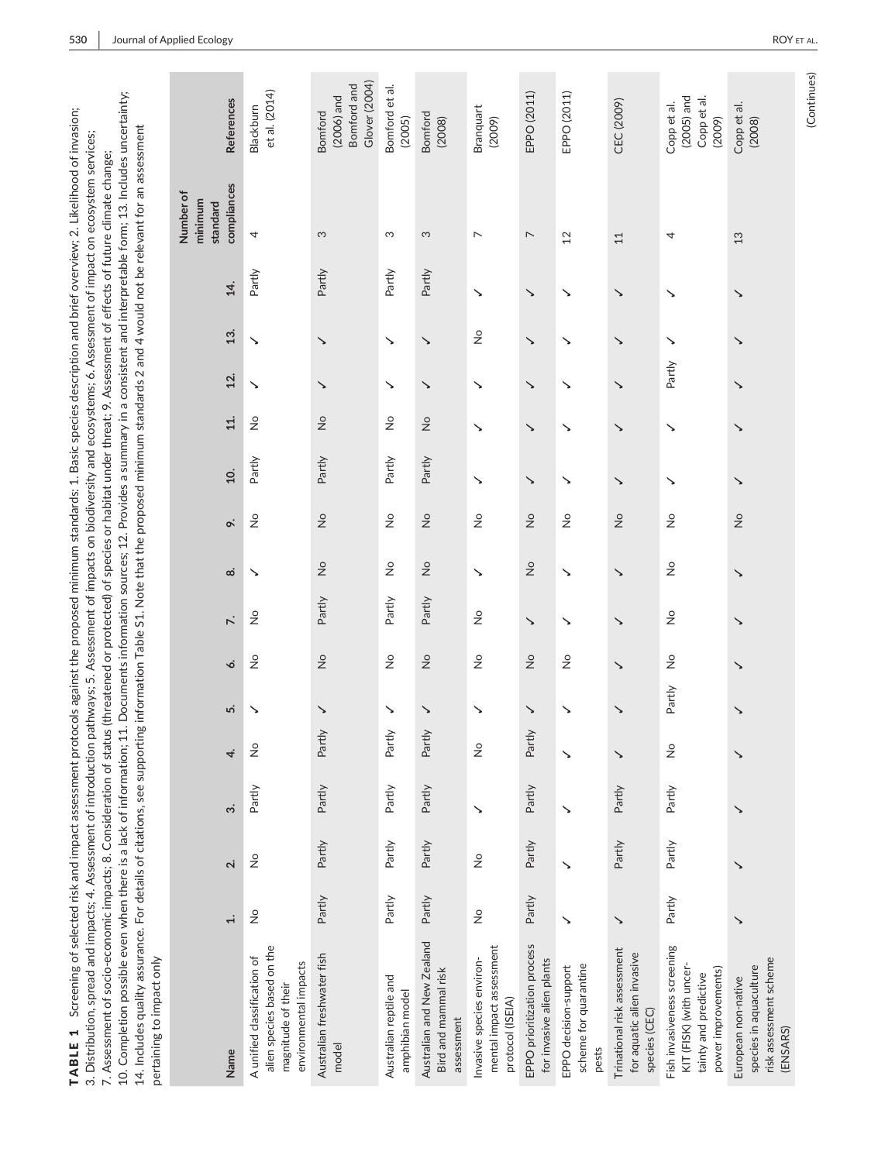| 10. Completion possible even when there is a lack of information; 11. Documents information sources; 12. Provides a summary in a consistent and interpretable form; 13. Includes uncertainty;<br>14. Includes quality assurance. For details of citations, see supporting information Table S1. Note that the proposed minimum standards 2 and 4 would not be relevant for an assessment<br>3. Distribution, spread and impacts; 4. Assessment of introduction<br>7. Assessment of socio-economic impacts; 8. Consideration of stat<br>pertaining to impact only |                             |                               |                    |                            |        |                               |                            |                            |                             |        |                            |        |               |        | pathways; 5. Assessment of impacts on biodiversity and ecosystems; 6. Assessment of impact on ecosystem services;<br>us (threatened or protected) of species or habitat under threat; 9. Assessment of effects of future climate change; |                                                         |
|------------------------------------------------------------------------------------------------------------------------------------------------------------------------------------------------------------------------------------------------------------------------------------------------------------------------------------------------------------------------------------------------------------------------------------------------------------------------------------------------------------------------------------------------------------------|-----------------------------|-------------------------------|--------------------|----------------------------|--------|-------------------------------|----------------------------|----------------------------|-----------------------------|--------|----------------------------|--------|---------------|--------|------------------------------------------------------------------------------------------------------------------------------------------------------------------------------------------------------------------------------------------|---------------------------------------------------------|
| Name                                                                                                                                                                                                                                                                                                                                                                                                                                                                                                                                                             | $\div$                      | $\overline{\mathbf{u}}$       | $\dot{\mathbf{c}}$ | 4.                         | r.     | ó.                            | $\ddot{\sim}$              | $\dot{\infty}$             | o.                          | 10.    | 11.                        | 12.    | 13.           | 14.    | compliances<br>Number of<br>minimum<br>standard                                                                                                                                                                                          | <b>References</b>                                       |
| alien species based on the<br>A unified classification of<br>environmental impacts<br>magnitude of their                                                                                                                                                                                                                                                                                                                                                                                                                                                         | $\stackrel{\circ}{\simeq}$  | $\overset{\circ}{\mathsf{z}}$ | Partly             | $\stackrel{\circ}{\simeq}$ | ↘      | $\stackrel{\circ}{\succeq}$   | $\stackrel{\circ}{\simeq}$ | ↘                          | $\stackrel{\circ}{\simeq}$  | Partly | $\stackrel{\circ}{\simeq}$ | ↘      | ↘             | Partly | 4                                                                                                                                                                                                                                        | et al. (2014)<br>Blackburn                              |
| Australian freshwater fish<br>model                                                                                                                                                                                                                                                                                                                                                                                                                                                                                                                              | Partly                      | Partly                        | Partly             | ≧<br>Part                  | ↘      | $\stackrel{\circ}{\simeq}$    | Partly                     | $\stackrel{\circ}{\simeq}$ | $\frac{1}{2}$               | Partly | $\stackrel{\circ}{\simeq}$ | ↘      | ↘             | Partly | S                                                                                                                                                                                                                                        | Glover (2004)<br>Bomford and<br>$(2006)$ and<br>Bomford |
| Australian reptile and<br>amphibian model                                                                                                                                                                                                                                                                                                                                                                                                                                                                                                                        | Partly                      | Partly                        | Partly             | ≥<br>Part                  | ↘      | $\stackrel{\circ}{\simeq}$    | Partly                     | $\stackrel{\circ}{\simeq}$ | $\stackrel{\circ}{\succeq}$ | Partly | $\stackrel{\circ}{\simeq}$ | ↘      | ↘             | Partly | S                                                                                                                                                                                                                                        | Bomford et al.<br>(2005)                                |
| Australian and New Zealand<br>Bird and mammal risk<br>assessment                                                                                                                                                                                                                                                                                                                                                                                                                                                                                                 | Partly                      | Partly                        | Partly             | ≧<br>Partl                 | ↘      | $\frac{1}{2}$                 | Partly                     | $\frac{1}{2}$              | $\frac{1}{2}$               | Partly | $\frac{1}{2}$              | ↘      | ↘             | Partly | S                                                                                                                                                                                                                                        | Bomford<br>(2008)                                       |
| mental impact assessment<br>Invasive species environ-<br>protocol (ISEIA)                                                                                                                                                                                                                                                                                                                                                                                                                                                                                        | $\stackrel{\circ}{\succeq}$ | $\frac{1}{2}$                 | ↘                  | $\frac{1}{2}$              | ↘      | $\frac{1}{2}$                 | $\frac{1}{2}$              | ↘                          | $\frac{1}{2}$               | ↘      | ↘                          | ↘      | $\frac{1}{2}$ | ↘      | $\overline{ }$                                                                                                                                                                                                                           | Branquart<br>(2009)                                     |
| EPPO prioritization process<br>for invasive alien plants                                                                                                                                                                                                                                                                                                                                                                                                                                                                                                         | Partly                      | Partly                        | Partly             | ≧<br>Part                  | ↘      | $\overset{\circ}{\mathsf{z}}$ | ↘                          | $\stackrel{\circ}{\simeq}$ | $\stackrel{\circ}{\simeq}$  | ↘      | ↘                          | ↘      | ↘             | ↘      | $\overline{ }$                                                                                                                                                                                                                           | EPPO (2011)                                             |
| scheme for quarantine<br>EPPO decision-support<br>pests                                                                                                                                                                                                                                                                                                                                                                                                                                                                                                          | ↘                           |                               |                    |                            |        | $\frac{1}{2}$                 |                            | ↘                          | $\frac{1}{2}$               | ↘      | ↘                          |        |               | ↘      | $^{12}$                                                                                                                                                                                                                                  | EPPO (2011)                                             |
| Trinational risk assessment<br>for aquatic alien invasive<br>species (CEC)                                                                                                                                                                                                                                                                                                                                                                                                                                                                                       | ゝ                           | Partly                        | Partly             | ゝ                          | ゝ      |                               | ↘                          | ゝ                          | $\frac{1}{2}$               | ↘      | ↘                          | ↘      | ↘             | ゝ      | 11                                                                                                                                                                                                                                       | CEC (2009)                                              |
| Fish invasiveness screening<br>KIT (FISK) (with uncer-<br>power improvements)<br>tainty and predictive                                                                                                                                                                                                                                                                                                                                                                                                                                                           | Partly                      | Partly                        | Partly             | $\stackrel{\circ}{\simeq}$ | Partly | $\frac{1}{2}$                 | $\frac{1}{2}$              | $\frac{1}{2}$              | $\stackrel{\circ}{\simeq}$  | ↘      | ↘                          | Partly | ↘             | ↘      | 4                                                                                                                                                                                                                                        | $(2005)$ and<br>Copp et al.<br>Copp et al.<br>(2009)    |
| risk assessment scheme<br>species in aquaculture<br>European non-native<br>(ENSARS)                                                                                                                                                                                                                                                                                                                                                                                                                                                                              | ↘                           |                               | ↘                  |                            | ↘      | ↘                             |                            | ↘                          | $\frac{1}{2}$               | ↘      | ↘                          | ↘      | ↘             | ↘      | 13                                                                                                                                                                                                                                       | Copp et al.<br>(2008)                                   |

TABLE 1 Screening of selected risk and impact assessment protocols against the proposed minimum standards: 1. Basic species description and brief overview; 2. Likelihood of invasion;

TABLE 1 Screening of selected risk and impact assessment protocols against the proposed minimum standards: 1. Basic species description and brief overview; 2. Likelihood of invasion;

(Continues) (Continues)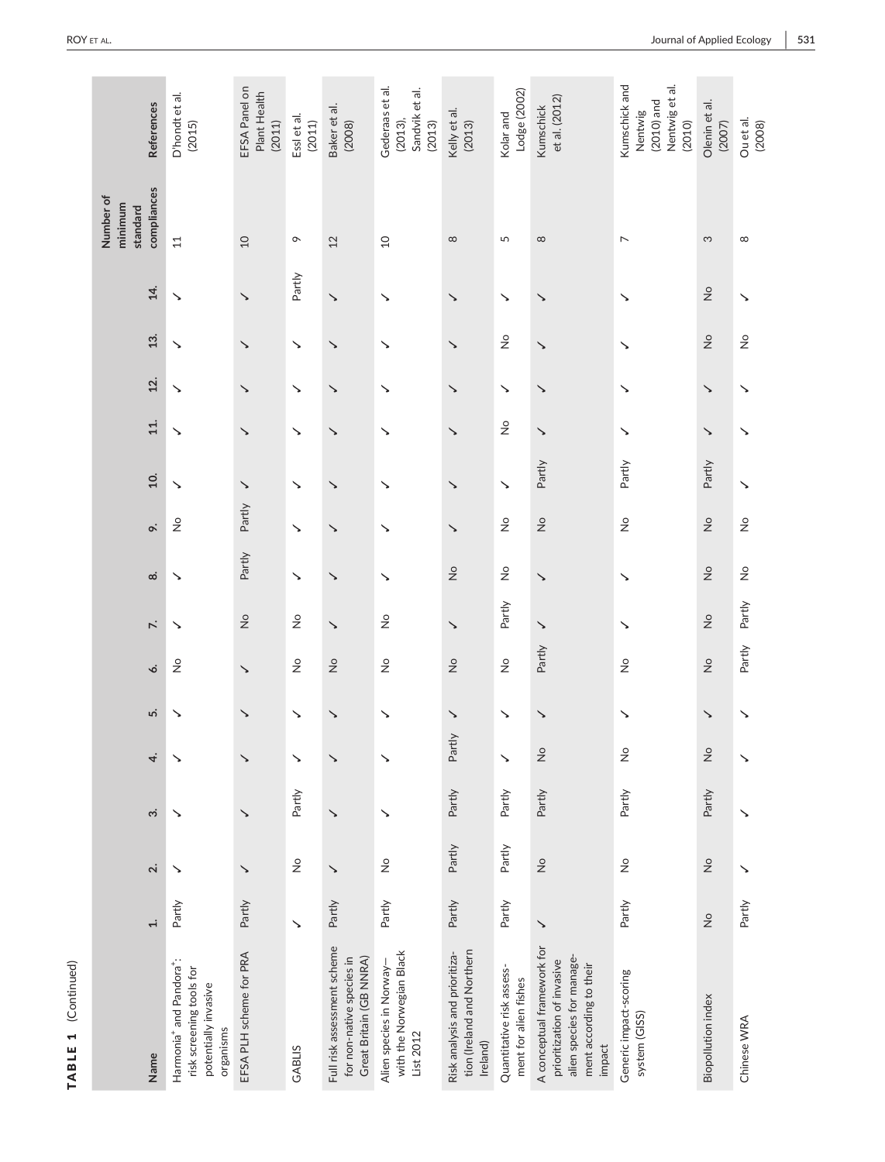TABLE 1 (Continued) TABLE 1 (Continued)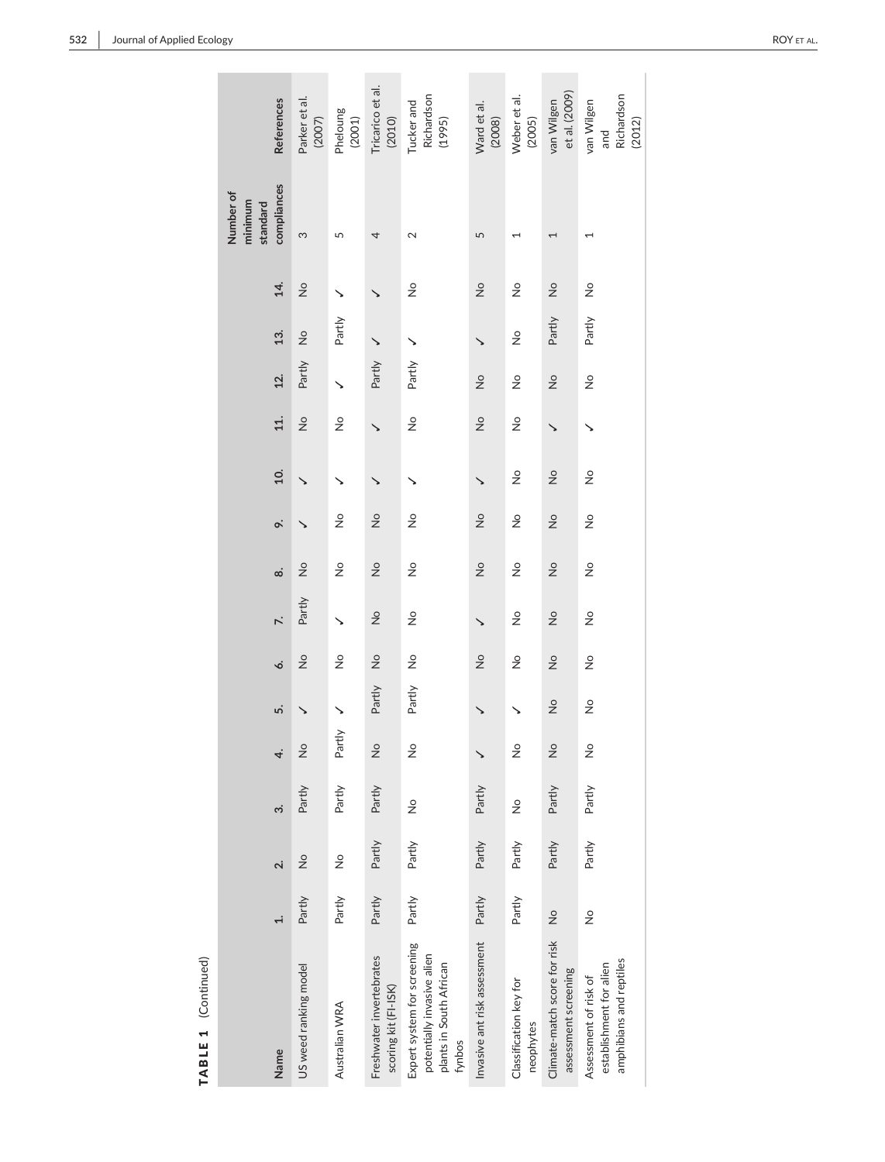TABLE 1 (Continued)

TABLE 1 (Continued)

| References                                      | Parker et al.<br>(2007) | Pheloung<br>(2001) | Tricarico et al.<br>(2010)                       | Richardson<br>Tucker and<br>(1995)                                                             | Ward et al.<br>(2008)        | Weber et al.<br>(2005)              | et al. (2009)<br>van Wilgen                          | Richardson<br>van Wilgen<br>(2012)<br>and                                   |
|-------------------------------------------------|-------------------------|--------------------|--------------------------------------------------|------------------------------------------------------------------------------------------------|------------------------------|-------------------------------------|------------------------------------------------------|-----------------------------------------------------------------------------|
| compliances<br>Number of<br>minimum<br>standard | S                       | 5                  | 4                                                | $\mathbf{\Omega}$                                                                              | 5                            | $\overline{\phantom{0}}$            | 1                                                    |                                                                             |
| 14.                                             | $\frac{1}{2}$           | ↘                  |                                                  | $\frac{1}{2}$                                                                                  | $\frac{1}{2}$                | $\frac{1}{2}$                       | $\frac{1}{2}$                                        | $\frac{1}{2}$                                                               |
| 13.                                             | $\frac{1}{2}$           | Partly             |                                                  | ↘                                                                                              | ゝ                            | $\frac{1}{2}$                       | Partly                                               | Partly                                                                      |
| 12.                                             | Partly                  |                    | Partly                                           | Partly                                                                                         | $\frac{1}{2}$                | $\stackrel{\circ}{\simeq}$          | $\frac{1}{2}$                                        | $\frac{1}{2}$                                                               |
| 11.                                             | $\frac{1}{2}$           | $\frac{1}{2}$      |                                                  | $\frac{1}{2}$                                                                                  | $\frac{1}{2}$                | $\frac{1}{2}$                       |                                                      |                                                                             |
| $\overline{10}$ .                               |                         | ↘                  |                                                  |                                                                                                | ゝ                            | $\frac{1}{2}$                       | $\frac{1}{2}$                                        | $\frac{1}{2}$                                                               |
| o.                                              |                         | $\frac{1}{2}$      | $\frac{1}{2}$                                    | $\frac{1}{2}$                                                                                  | $\frac{1}{2}$                | $\frac{1}{2}$                       | $\frac{1}{2}$                                        | $\frac{1}{2}$                                                               |
| $\dot{\infty}$                                  | $\frac{1}{2}$           | $\frac{1}{2}$      | $\frac{1}{2}$                                    | $\frac{1}{2}$                                                                                  | $\frac{1}{2}$                | $\frac{1}{2}$                       | $\frac{1}{2}$                                        | $\frac{1}{2}$                                                               |
| $\ddot{\sim}$                                   | Partly                  | ↘                  | $\frac{1}{2}$                                    | $\frac{1}{2}$                                                                                  | $\checkmark$                 | $\frac{1}{2}$                       | $\frac{1}{2}$                                        | $\frac{1}{2}$                                                               |
| ó.                                              | $\frac{1}{2}$           | $\frac{1}{2}$      | $\frac{1}{2}$                                    | $\frac{1}{2}$                                                                                  | $\frac{1}{2}$                | $\frac{1}{2}$                       | $\overset{\circ}{\simeq}$                            | $\frac{1}{2}$                                                               |
| ທ່                                              |                         |                    | Partly                                           | Partly                                                                                         |                              |                                     | $\frac{1}{2}$                                        | $\frac{1}{2}$                                                               |
| 4.                                              | $\frac{1}{2}$           | Partly             | $\frac{1}{2}$                                    | $\frac{1}{2}$                                                                                  |                              | $\frac{1}{2}$                       | $\frac{1}{2}$                                        | $\frac{1}{2}$                                                               |
| $\dot{\mathfrak{c}}$                            | Partly                  | Partly             | Partly                                           | $\frac{1}{2}$                                                                                  | Partly                       | $\frac{1}{2}$                       | Partly                                               | Partly                                                                      |
| $\overline{\mathbf{v}}$                         | $\frac{1}{2}$           | $\frac{1}{2}$      | Partly                                           | Partly                                                                                         | Partly                       | Partly                              | Partly                                               | Partly                                                                      |
| $\ddot{ }$                                      | Partly                  | Partly             | Partly                                           | Partly                                                                                         | Partly                       | Partly                              | $\frac{1}{2}$                                        | $\frac{1}{2}$                                                               |
| Name                                            | US weed ranking model   | Australian WRA     | Freshwater invertebrates<br>scoring kit (FI-ISK) | Expert system for screening<br>potentially invasive alien<br>plants in South African<br>fynbos | Invasive ant risk assessment | Classification key for<br>neophytes | Climate-match score for risk<br>assessment screening | amphibians and reptiles<br>establishment for alien<br>Assessment of risk of |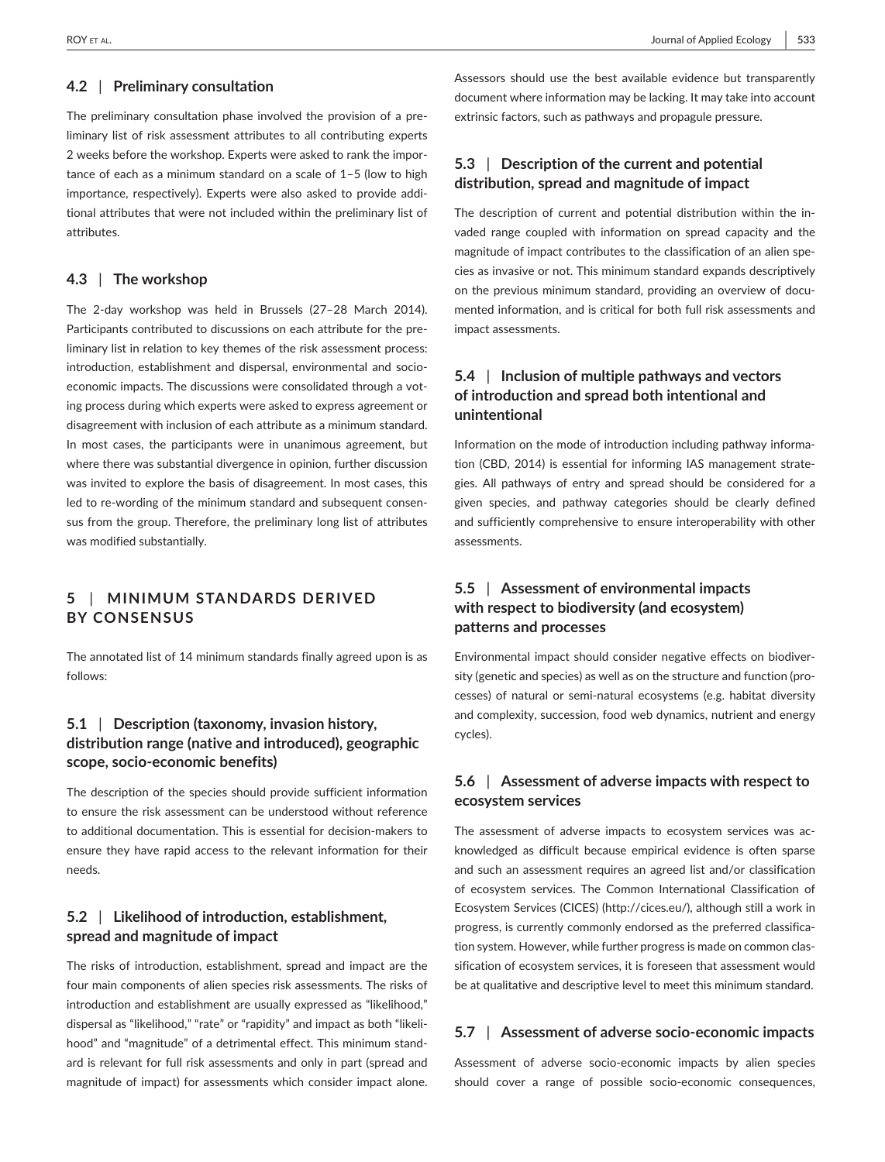#### **4.2** | **Preliminary consultation**

The preliminary consultation phase involved the provision of a preliminary list of risk assessment attributes to all contributing experts 2 weeks before the workshop. Experts were asked to rank the importance of each as a minimum standard on a scale of 1–5 (low to high importance, respectively). Experts were also asked to provide additional attributes that were not included within the preliminary list of attributes.

#### **4.3** | **The workshop**

The 2-day workshop was held in Brussels (27–28 March 2014). Participants contributed to discussions on each attribute for the preliminary list in relation to key themes of the risk assessment process: introduction, establishment and dispersal, environmental and socioeconomic impacts. The discussions were consolidated through a voting process during which experts were asked to express agreement or disagreement with inclusion of each attribute as a minimum standard. In most cases, the participants were in unanimous agreement, but where there was substantial divergence in opinion, further discussion was invited to explore the basis of disagreement. In most cases, this led to re-wording of the minimum standard and subsequent consensus from the group. Therefore, the preliminary long list of attributes was modified substantially.

# **5** | **MINIMUM STANDARDS DERIVED BY CONSENSUS**

The annotated list of 14 minimum standards finally agreed upon is as follows:

## **5.1** | **Description (taxonomy, invasion history, distribution range (native and introduced), geographic scope, socio-economic benefits)**

The description of the species should provide sufficient information to ensure the risk assessment can be understood without reference to additional documentation. This is essential for decision-makers to ensure they have rapid access to the relevant information for their needs.

## **5.2** | **Likelihood of introduction, establishment, spread and magnitude of impact**

The risks of introduction, establishment, spread and impact are the four main components of alien species risk assessments. The risks of introduction and establishment are usually expressed as "likelihood," dispersal as "likelihood," "rate" or "rapidity" and impact as both "likelihood" and "magnitude" of a detrimental effect. This minimum standard is relevant for full risk assessments and only in part (spread and magnitude of impact) for assessments which consider impact alone. Assessors should use the best available evidence but transparently document where information may be lacking. It may take into account extrinsic factors, such as pathways and propagule pressure.

## **5.3** | **Description of the current and potential distribution, spread and magnitude of impact**

The description of current and potential distribution within the invaded range coupled with information on spread capacity and the magnitude of impact contributes to the classification of an alien species as invasive or not. This minimum standard expands descriptively on the previous minimum standard, providing an overview of documented information, and is critical for both full risk assessments and impact assessments.

## **5.4** | **Inclusion of multiple pathways and vectors of introduction and spread both intentional and unintentional**

Information on the mode of introduction including pathway information (CBD, 2014) is essential for informing IAS management strategies. All pathways of entry and spread should be considered for a given species, and pathway categories should be clearly defined and sufficiently comprehensive to ensure interoperability with other assessments.

# **5.5** | **Assessment of environmental impacts with respect to biodiversity (and ecosystem) patterns and processes**

Environmental impact should consider negative effects on biodiversity (genetic and species) as well as on the structure and function (processes) of natural or semi-natural ecosystems (e.g. habitat diversity and complexity, succession, food web dynamics, nutrient and energy cycles).

## **5.6** | **Assessment of adverse impacts with respect to ecosystem services**

The assessment of adverse impacts to ecosystem services was acknowledged as difficult because empirical evidence is often sparse and such an assessment requires an agreed list and/or classification of ecosystem services. The Common International Classification of Ecosystem Services (CICES) [\(http://cices.eu/](http://cices.eu/)), although still a work in progress, is currently commonly endorsed as the preferred classification system. However, while further progress is made on common classification of ecosystem services, it is foreseen that assessment would be at qualitative and descriptive level to meet this minimum standard.

#### **5.7** | **Assessment of adverse socio-economic impacts**

Assessment of adverse socio-economic impacts by alien species should cover a range of possible socio-economic consequences,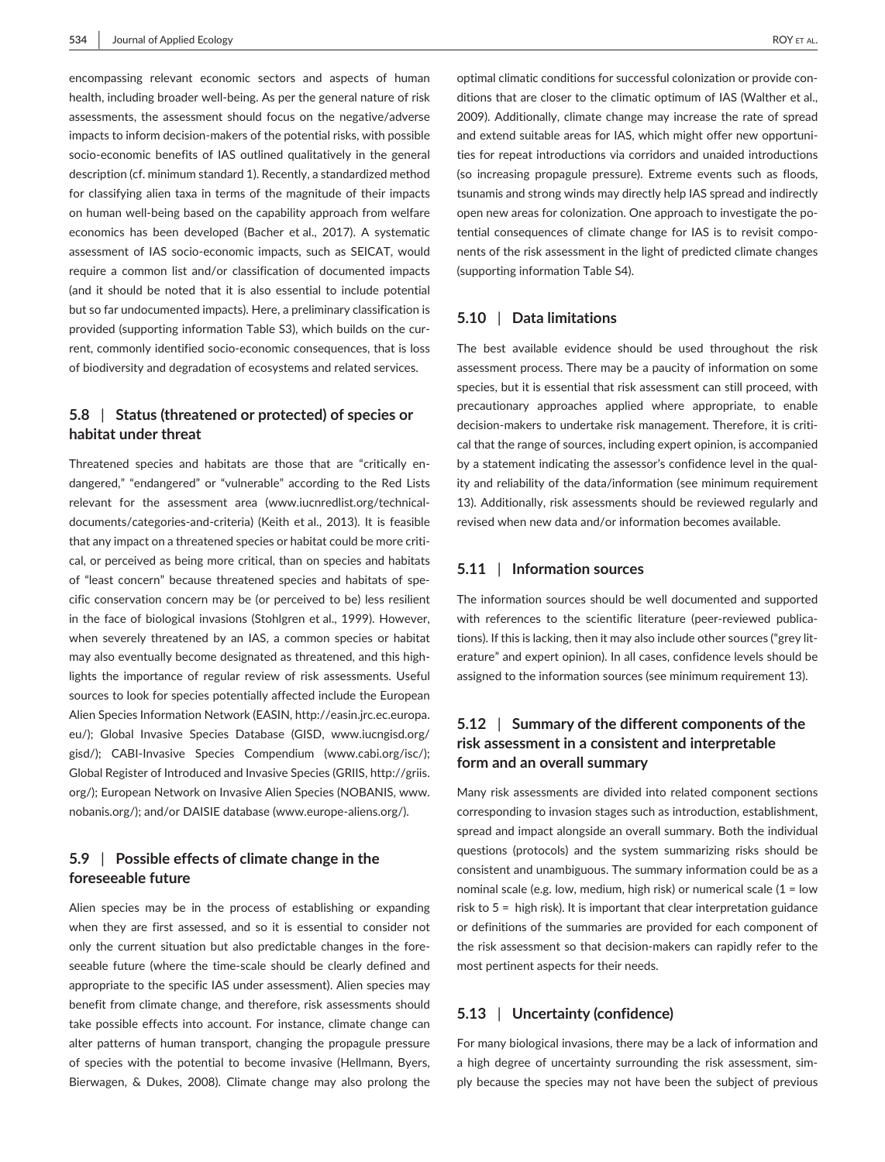encompassing relevant economic sectors and aspects of human health, including broader well-being. As per the general nature of risk assessments, the assessment should focus on the negative/adverse impacts to inform decision-makers of the potential risks, with possible socio-economic benefits of IAS outlined qualitatively in the general description (cf. minimum standard 1). Recently, a standardized method for classifying alien taxa in terms of the magnitude of their impacts on human well-being based on the capability approach from welfare economics has been developed (Bacher et al., 2017). A systematic assessment of IAS socio-economic impacts, such as SEICAT, would require a common list and/or classification of documented impacts (and it should be noted that it is also essential to include potential but so far undocumented impacts). Here, a preliminary classification is provided (supporting information Table S3), which builds on the current, commonly identified socio-economic consequences, that is loss of biodiversity and degradation of ecosystems and related services.

## **5.8** | **Status (threatened or protected) of species or habitat under threat**

Threatened species and habitats are those that are "critically endangered," "endangered" or "vulnerable" according to the Red Lists relevant for the assessment area (www.iucnredlist.org/technicaldocuments/categories-and-criteria) (Keith et al., 2013). It is feasible that any impact on a threatened species or habitat could be more critical, or perceived as being more critical, than on species and habitats of "least concern" because threatened species and habitats of specific conservation concern may be (or perceived to be) less resilient in the face of biological invasions (Stohlgren et al., 1999). However, when severely threatened by an IAS, a common species or habitat may also eventually become designated as threatened, and this highlights the importance of regular review of risk assessments. Useful sources to look for species potentially affected include the European Alien Species Information Network (EASIN, [http://easin.jrc.ec.europa.](http://easin.jrc.ec.europa.eu/) [eu/\)](http://easin.jrc.ec.europa.eu/); Global Invasive Species Database (GISD, [www.iucngisd.org/](www.iucngisd.org/gisd/) [gisd/](www.iucngisd.org/gisd/)); CABI-Invasive Species Compendium [\(www.cabi.org/isc/](www.cabi.org/isc/)); Global Register of Introduced and Invasive Species (GRIIS, [http://griis.](http://griis.org/) [org/\)](http://griis.org/); European Network on Invasive Alien Species (NOBANIS, www. nobanis.org/); and/or DAISIE database (www.europe-aliens.org/).

## **5.9** | **Possible effects of climate change in the foreseeable future**

Alien species may be in the process of establishing or expanding when they are first assessed, and so it is essential to consider not only the current situation but also predictable changes in the foreseeable future (where the time-scale should be clearly defined and appropriate to the specific IAS under assessment). Alien species may benefit from climate change, and therefore, risk assessments should take possible effects into account. For instance, climate change can alter patterns of human transport, changing the propagule pressure of species with the potential to become invasive (Hellmann, Byers, Bierwagen, & Dukes, 2008). Climate change may also prolong the

optimal climatic conditions for successful colonization or provide conditions that are closer to the climatic optimum of IAS (Walther et al., 2009). Additionally, climate change may increase the rate of spread and extend suitable areas for IAS, which might offer new opportunities for repeat introductions via corridors and unaided introductions (so increasing propagule pressure). Extreme events such as floods, tsunamis and strong winds may directly help IAS spread and indirectly open new areas for colonization. One approach to investigate the potential consequences of climate change for IAS is to revisit components of the risk assessment in the light of predicted climate changes (supporting information Table S4).

#### **5.10** | **Data limitations**

The best available evidence should be used throughout the risk assessment process. There may be a paucity of information on some species, but it is essential that risk assessment can still proceed, with precautionary approaches applied where appropriate, to enable decision-makers to undertake risk management. Therefore, it is critical that the range of sources, including expert opinion, is accompanied by a statement indicating the assessor's confidence level in the quality and reliability of the data/information (see minimum requirement 13). Additionally, risk assessments should be reviewed regularly and revised when new data and/or information becomes available.

#### **5.11** | **Information sources**

The information sources should be well documented and supported with references to the scientific literature (peer-reviewed publications). If this is lacking, then it may also include other sources ("grey literature" and expert opinion). In all cases, confidence levels should be assigned to the information sources (see minimum requirement 13).

## **5.12** | **Summary of the different components of the risk assessment in a consistent and interpretable form and an overall summary**

Many risk assessments are divided into related component sections corresponding to invasion stages such as introduction, establishment, spread and impact alongside an overall summary. Both the individual questions (protocols) and the system summarizing risks should be consistent and unambiguous. The summary information could be as a nominal scale (e.g. low, medium, high risk) or numerical scale  $(1 = low$ risk to 5 = high risk). It is important that clear interpretation guidance or definitions of the summaries are provided for each component of the risk assessment so that decision-makers can rapidly refer to the most pertinent aspects for their needs.

#### **5.13** | **Uncertainty (confidence)**

For many biological invasions, there may be a lack of information and a high degree of uncertainty surrounding the risk assessment, simply because the species may not have been the subject of previous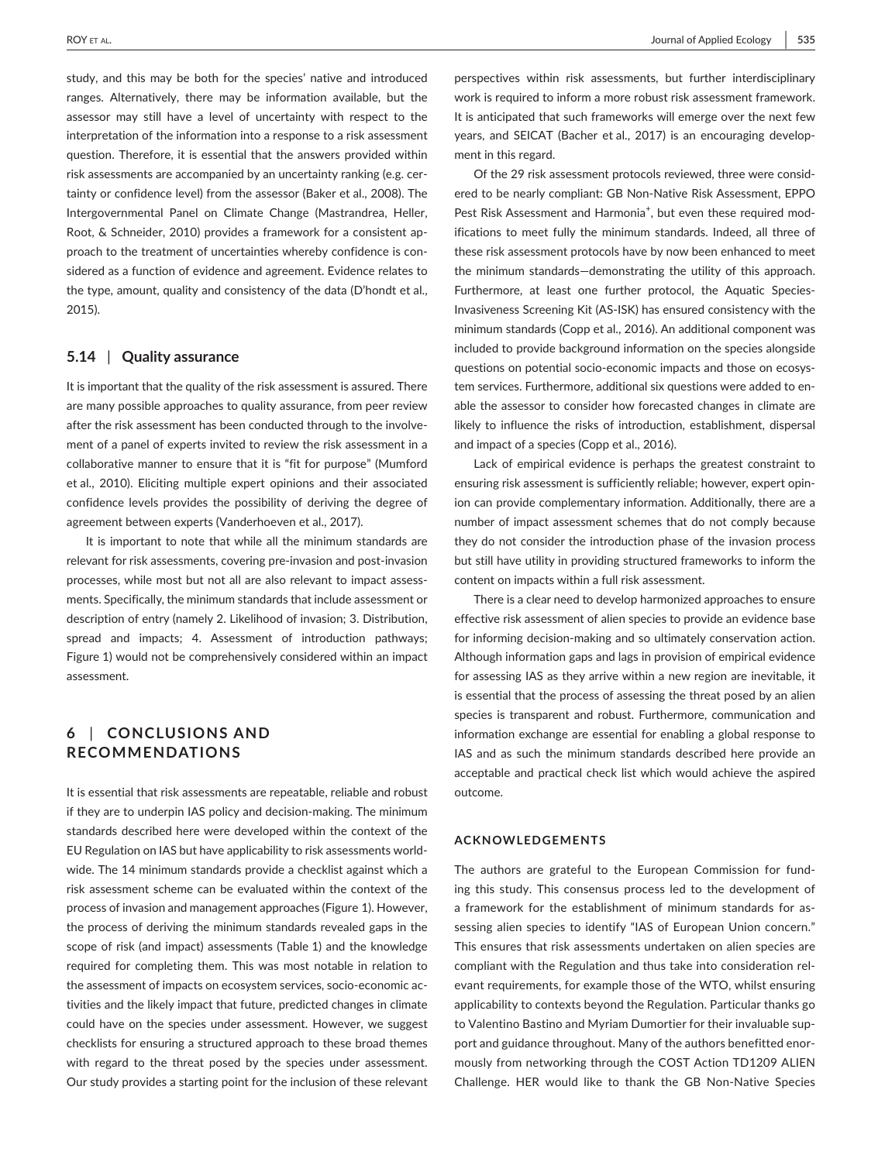study, and this may be both for the species' native and introduced ranges. Alternatively, there may be information available, but the assessor may still have a level of uncertainty with respect to the interpretation of the information into a response to a risk assessment question. Therefore, it is essential that the answers provided within risk assessments are accompanied by an uncertainty ranking (e.g. certainty or confidence level) from the assessor (Baker et al., 2008). The Intergovernmental Panel on Climate Change (Mastrandrea, Heller, Root, & Schneider, 2010) provides a framework for a consistent approach to the treatment of uncertainties whereby confidence is considered as a function of evidence and agreement. Evidence relates to the type, amount, quality and consistency of the data (D'hondt et al., 2015).

## **5.14** | **Quality assurance**

It is important that the quality of the risk assessment is assured. There are many possible approaches to quality assurance, from peer review after the risk assessment has been conducted through to the involvement of a panel of experts invited to review the risk assessment in a collaborative manner to ensure that it is "fit for purpose" (Mumford et al., 2010). Eliciting multiple expert opinions and their associated confidence levels provides the possibility of deriving the degree of agreement between experts (Vanderhoeven et al., 2017).

It is important to note that while all the minimum standards are relevant for risk assessments, covering pre-invasion and post-invasion processes, while most but not all are also relevant to impact assessments. Specifically, the minimum standards that include assessment or description of entry (namely 2. Likelihood of invasion; 3. Distribution, spread and impacts; 4. Assessment of introduction pathways; Figure 1) would not be comprehensively considered within an impact assessment.

## **6** | **CONCLUSIONS AND RECOMMENDATIONS**

It is essential that risk assessments are repeatable, reliable and robust if they are to underpin IAS policy and decision-making. The minimum standards described here were developed within the context of the EU Regulation on IAS but have applicability to risk assessments worldwide. The 14 minimum standards provide a checklist against which a risk assessment scheme can be evaluated within the context of the process of invasion and management approaches (Figure 1). However, the process of deriving the minimum standards revealed gaps in the scope of risk (and impact) assessments (Table 1) and the knowledge required for completing them. This was most notable in relation to the assessment of impacts on ecosystem services, socio-economic activities and the likely impact that future, predicted changes in climate could have on the species under assessment. However, we suggest checklists for ensuring a structured approach to these broad themes with regard to the threat posed by the species under assessment. Our study provides a starting point for the inclusion of these relevant

perspectives within risk assessments, but further interdisciplinary work is required to inform a more robust risk assessment framework. It is anticipated that such frameworks will emerge over the next few years, and SEICAT (Bacher et al., 2017) is an encouraging development in this regard.

Of the 29 risk assessment protocols reviewed, three were considered to be nearly compliant: GB Non-Native Risk Assessment, EPPO Pest Risk Assessment and Harmonia<sup>+</sup>, but even these required modifications to meet fully the minimum standards. Indeed, all three of these risk assessment protocols have by now been enhanced to meet the minimum standards—demonstrating the utility of this approach. Furthermore, at least one further protocol, the Aquatic Species-Invasiveness Screening Kit (AS-ISK) has ensured consistency with the minimum standards (Copp et al., 2016). An additional component was included to provide background information on the species alongside questions on potential socio-economic impacts and those on ecosystem services. Furthermore, additional six questions were added to enable the assessor to consider how forecasted changes in climate are likely to influence the risks of introduction, establishment, dispersal and impact of a species (Copp et al., 2016).

Lack of empirical evidence is perhaps the greatest constraint to ensuring risk assessment is sufficiently reliable; however, expert opinion can provide complementary information. Additionally, there are a number of impact assessment schemes that do not comply because they do not consider the introduction phase of the invasion process but still have utility in providing structured frameworks to inform the content on impacts within a full risk assessment.

There is a clear need to develop harmonized approaches to ensure effective risk assessment of alien species to provide an evidence base for informing decision-making and so ultimately conservation action. Although information gaps and lags in provision of empirical evidence for assessing IAS as they arrive within a new region are inevitable, it is essential that the process of assessing the threat posed by an alien species is transparent and robust. Furthermore, communication and information exchange are essential for enabling a global response to IAS and as such the minimum standards described here provide an acceptable and practical check list which would achieve the aspired outcome.

#### **ACKNOWLEDGEMENTS**

The authors are grateful to the European Commission for funding this study. This consensus process led to the development of a framework for the establishment of minimum standards for assessing alien species to identify "IAS of European Union concern." This ensures that risk assessments undertaken on alien species are compliant with the Regulation and thus take into consideration relevant requirements, for example those of the WTO, whilst ensuring applicability to contexts beyond the Regulation. Particular thanks go to Valentino Bastino and Myriam Dumortier for their invaluable support and guidance throughout. Many of the authors benefitted enormously from networking through the COST Action TD1209 ALIEN Challenge. HER would like to thank the GB Non-Native Species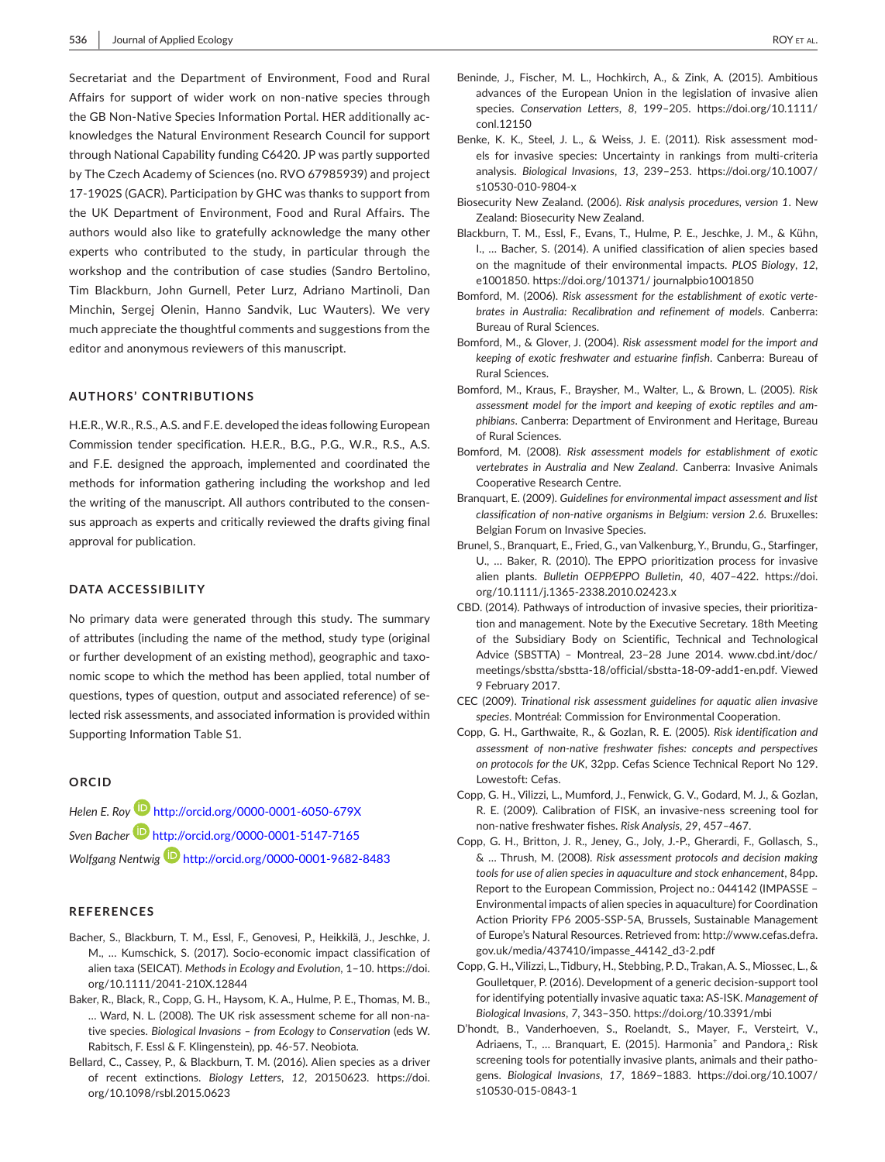Secretariat and the Department of Environment, Food and Rural Affairs for support of wider work on non-native species through the GB Non-Native Species Information Portal. HER additionally acknowledges the Natural Environment Research Council for support through National Capability funding C6420. JP was partly supported by The Czech Academy of Sciences (no. RVO 67985939) and project 17-1902S (GACR). Participation by GHC was thanks to support from the UK Department of Environment, Food and Rural Affairs. The authors would also like to gratefully acknowledge the many other experts who contributed to the study, in particular through the workshop and the contribution of case studies (Sandro Bertolino, Tim Blackburn, John Gurnell, Peter Lurz, Adriano Martinoli, Dan Minchin, Sergej Olenin, Hanno Sandvik, Luc Wauters). We very much appreciate the thoughtful comments and suggestions from the editor and anonymous reviewers of this manuscript.

#### **AUTHORS' CONTRIBUTIONS**

H.E.R., W.R., R.S., A.S. and F.E. developed the ideas following European Commission tender specification. H.E.R., B.G., P.G., W.R., R.S., A.S. and F.E. designed the approach, implemented and coordinated the methods for information gathering including the workshop and led the writing of the manuscript. All authors contributed to the consensus approach as experts and critically reviewed the drafts giving final approval for publication.

#### **DATA ACCESSIBILITY**

No primary data were generated through this study. The summary of attributes (including the name of the method, study type (original or further development of an existing method), geographic and taxonomic scope to which the method has been applied, total number of questions, types of question, output and associated reference) of selected risk assessments, and associated information is provided within Supporting Information Table S1.

#### **ORCID**

*Helen E. Roy* <http://orcid.org/0000-0001-6050-679X> *Sven Bache[r](http://orcid.org/0000-0001-5147-7165)* <http://orcid.org/0000-0001-5147-7165> *Wolfgang Nentwig* <http://orcid.org/0000-0001-9682-8483>

#### **REFERENCES**

- Bacher, S., Blackburn, T. M., Essl, F., Genovesi, P., Heikkilä, J., Jeschke, J. M., … Kumschick, S. (2017). Socio-economic impact classification of alien taxa (SEICAT). *Methods in Ecology and Evolution*, 1–10. [https://doi.](https://doi.org/10.1111/2041-210X.12844) [org/10.1111/2041-210X.12844](https://doi.org/10.1111/2041-210X.12844)
- Baker, R., Black, R., Copp, G. H., Haysom, K. A., Hulme, P. E., Thomas, M. B., … Ward, N. L. (2008). The UK risk assessment scheme for all non-native species. *Biological Invasions – from Ecology to Conservation* (eds W. Rabitsch, F. Essl & F. Klingenstein), pp. 46-57. Neobiota.
- Bellard, C., Cassey, P., & Blackburn, T. M. (2016). Alien species as a driver of recent extinctions. *Biology Letters*, *12*, 20150623. [https://doi.](https://doi.org/10.1098/rsbl.2015.0623) [org/10.1098/rsbl.2015.0623](https://doi.org/10.1098/rsbl.2015.0623)
- Beninde, J., Fischer, M. L., Hochkirch, A., & Zink, A. (2015). Ambitious advances of the European Union in the legislation of invasive alien species. *Conservation Letters*, *8*, 199–205. [https://doi.org/10.1111/](https://doi.org/10.1111/conl.12150) [conl.12150](https://doi.org/10.1111/conl.12150)
- Benke, K. K., Steel, J. L., & Weiss, J. E. (2011). Risk assessment models for invasive species: Uncertainty in rankings from multi-criteria analysis. *Biological Invasions*, *13*, 239–253. [https://doi.org/10.1007/](https://doi.org/10.1007/s10530-010-9804-x) [s10530-010-9804-x](https://doi.org/10.1007/s10530-010-9804-x)
- Biosecurity New Zealand. (2006). *Risk analysis procedures, version 1*. New Zealand: Biosecurity New Zealand.
- Blackburn, T. M., Essl, F., Evans, T., Hulme, P. E., Jeschke, J. M., & Kühn, I., … Bacher, S. (2014). A unified classification of alien species based on the magnitude of their environmental impacts. *PLOS Biology*, *12*, e1001850. <https://doi.org/101371/>journalpbio1001850
- Bomford, M. (2006). *Risk assessment for the establishment of exotic vertebrates in Australia: Recalibration and refinement of models*. Canberra: Bureau of Rural Sciences.
- Bomford, M., & Glover, J. (2004). *Risk assessment model for the import and keeping of exotic freshwater and estuarine finfish*. Canberra: Bureau of Rural Sciences.
- Bomford, M., Kraus, F., Braysher, M., Walter, L., & Brown, L. (2005). *Risk assessment model for the import and keeping of exotic reptiles and amphibians*. Canberra: Department of Environment and Heritage, Bureau of Rural Sciences.
- Bomford, M. (2008). *Risk assessment models for establishment of exotic vertebrates in Australia and New Zealand*. Canberra: Invasive Animals Cooperative Research Centre.
- Branquart, E. (2009). *Guidelines for environmental impact assessment and list classification of non-native organisms in Belgium: version 2.6*. Bruxelles: Belgian Forum on Invasive Species.
- Brunel, S., Branquart, E., Fried, G., van Valkenburg, Y., Brundu, G., Starfinger, U., … Baker, R. (2010). The EPPO prioritization process for invasive alien plants. *Bulletin OEPP⁄EPPO Bulletin*, *40*, 407–422. [https://doi.](https://doi.org/10.1111/j.1365-2338.2010.02423.x) [org/10.1111/j.1365-2338.2010.02423.x](https://doi.org/10.1111/j.1365-2338.2010.02423.x)
- CBD. (2014). Pathways of introduction of invasive species, their prioritization and management. Note by the Executive Secretary. 18th Meeting of the Subsidiary Body on Scientific, Technical and Technological Advice (SBSTTA) – Montreal, 23–28 June 2014. [www.cbd.int/doc/](www.cbd.int/doc/meetings/sbstta/sbstta-18/official/sbstta-18-09-add1-en.pdf.﻿) [meetings/sbstta/sbstta-18/official/sbstta-18-09-add1-en.pdf.](www.cbd.int/doc/meetings/sbstta/sbstta-18/official/sbstta-18-09-add1-en.pdf.﻿) Viewed 9 February 2017.
- CEC (2009). *Trinational risk assessment guidelines for aquatic alien invasive species*. Montréal: Commission for Environmental Cooperation.
- Copp, G. H., Garthwaite, R., & Gozlan, R. E. (2005). *Risk identification and assessment of non-native freshwater fishes: concepts and perspectives on protocols for the UK*, 32pp. Cefas Science Technical Report No 129. Lowestoft: Cefas.
- Copp, G. H., Vilizzi, L., Mumford, J., Fenwick, G. V., Godard, M. J., & Gozlan, R. E. (2009). Calibration of FISK, an invasive-ness screening tool for non-native freshwater fishes. *Risk Analysis*, *29*, 457–467.
- Copp, G. H., Britton, J. R., Jeney, G., Joly, J.-P., Gherardi, F., Gollasch, S., & … Thrush, M. (2008). *Risk assessment protocols and decision making tools for use of alien species in aquaculture and stock enhancement*, 84pp. Report to the European Commission, Project no.: 044142 (IMPASSE – Environmental impacts of alien species in aquaculture) for Coordination Action Priority FP6 2005-SSP-5A, Brussels, Sustainable Management of Europe's Natural Resources. Retrieved from: [http://www.cefas.defra.](http://www.cefas.defra.gov.uk/media/437410/impasse_44142_d3-2.pdf) [gov.uk/media/437410/impasse\\_44142\\_d3-2.pdf](http://www.cefas.defra.gov.uk/media/437410/impasse_44142_d3-2.pdf)
- Copp, G. H., Vilizzi, L., Tidbury, H., Stebbing, P. D., Trakan, A. S., Miossec, L., & Goulletquer, P. (2016). Development of a generic decision-support tool for identifying potentially invasive aquatic taxa: AS-ISK. *Management of Biological Invasions*, *7*, 343–350. <https://doi.org/10.3391/mbi>
- D'hondt, B., Vanderhoeven, S., Roelandt, S., Mayer, F., Versteirt, V., Adriaens, T., ... Branquart, E. (2015). Harmonia<sup>+</sup> and Pandora<sub>+</sub>: Risk screening tools for potentially invasive plants, animals and their pathogens. *Biological Invasions*, *17*, 1869–1883. [https://doi.org/10.1007/](https://doi.org/10.1007/s10530-015-0843-1) [s10530-015-0843-1](https://doi.org/10.1007/s10530-015-0843-1)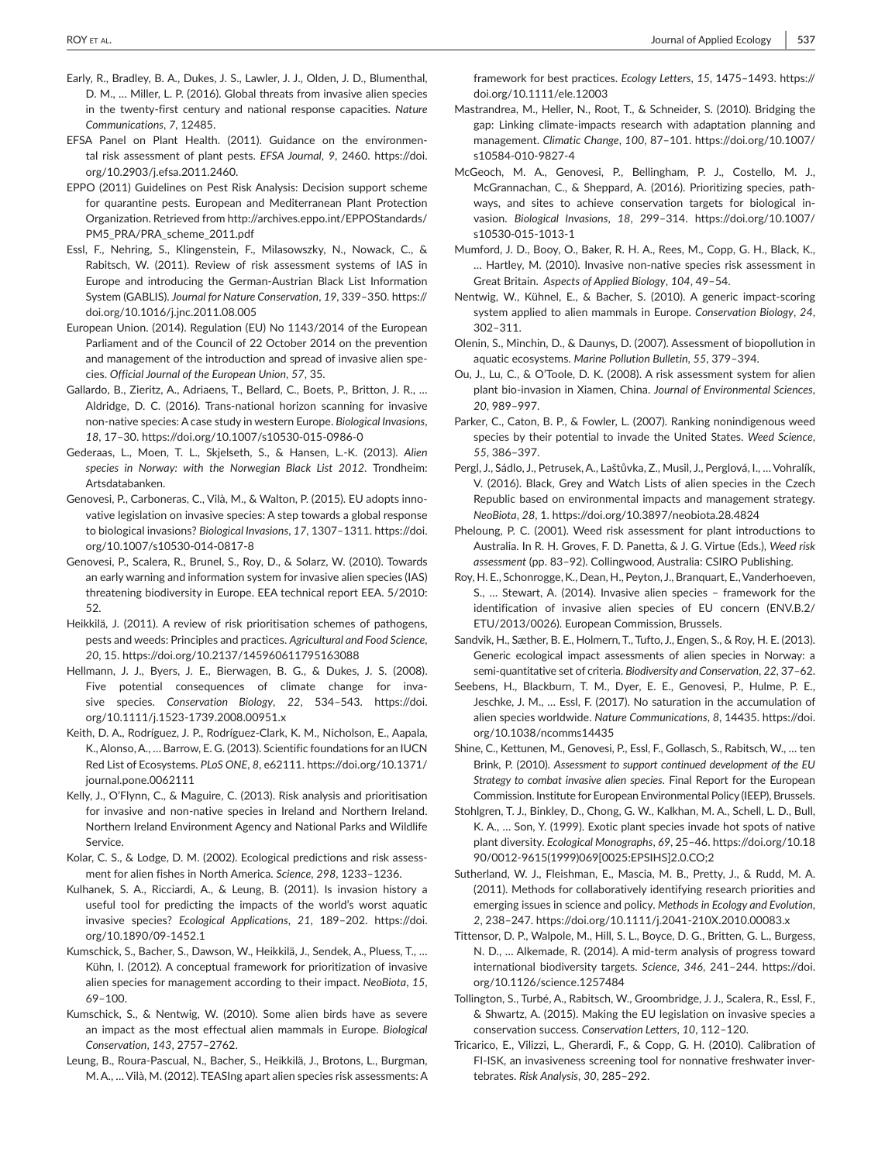- Early, R., Bradley, B. A., Dukes, J. S., Lawler, J. J., Olden, J. D., Blumenthal, D. M., … Miller, L. P. (2016). Global threats from invasive alien species in the twenty-first century and national response capacities. *Nature Communications*, *7*, 12485.
- EFSA Panel on Plant Health. (2011). Guidance on the environmental risk assessment of plant pests. *EFSA Journal*, *9*, 2460. [https://doi.](https://doi.org/10.2903/j.efsa.2011.2460) [org/10.2903/j.efsa.2011.2460.](https://doi.org/10.2903/j.efsa.2011.2460)
- EPPO (2011) Guidelines on Pest Risk Analysis: Decision support scheme for quarantine pests. European and Mediterranean Plant Protection Organization. Retrieved from [http://archives.eppo.int/EPPOStandards/](http://archives.eppo.int/EPPOStandards/PM5_PRA/PRA_scheme_2011.pdf) [PM5\\_PRA/PRA\\_scheme\\_2011.pdf](http://archives.eppo.int/EPPOStandards/PM5_PRA/PRA_scheme_2011.pdf)
- Essl, F., Nehring, S., Klingenstein, F., Milasowszky, N., Nowack, C., & Rabitsch, W. (2011). Review of risk assessment systems of IAS in Europe and introducing the German-Austrian Black List Information System (GABLIS). *Journal for Nature Conservation*, *19*, 339–350. [https://](https://doi.org/10.1016/j.jnc.2011.08.005) [doi.org/10.1016/j.jnc.2011.08.005](https://doi.org/10.1016/j.jnc.2011.08.005)
- European Union. (2014). Regulation (EU) No 1143/2014 of the European Parliament and of the Council of 22 October 2014 on the prevention and management of the introduction and spread of invasive alien species. *Official Journal of the European Union*, *57*, 35.
- Gallardo, B., Zieritz, A., Adriaens, T., Bellard, C., Boets, P., Britton, J. R., … Aldridge, D. C. (2016). Trans-national horizon scanning for invasive non-native species: A case study in western Europe. *Biological Invasions*, *18*, 17–30. <https://doi.org/10.1007/s10530-015-0986-0>
- Gederaas, L., Moen, T. L., Skjelseth, S., & Hansen, L.-K. (2013). *Alien species in Norway: with the Norwegian Black List 2012*. Trondheim: Artsdatabanken.
- Genovesi, P., Carboneras, C., Vilà, M., & Walton, P. (2015). EU adopts innovative legislation on invasive species: A step towards a global response to biological invasions? *Biological Invasions*, *17*, 1307–1311. [https://doi.](https://doi.org/10.1007/s10530-014-0817-8) [org/10.1007/s10530-014-0817-8](https://doi.org/10.1007/s10530-014-0817-8)
- Genovesi, P., Scalera, R., Brunel, S., Roy, D., & Solarz, W. (2010). Towards an early warning and information system for invasive alien species (IAS) threatening biodiversity in Europe. EEA technical report EEA. 5/2010: 52.
- Heikkilä, J. (2011). A review of risk prioritisation schemes of pathogens, pests and weeds: Principles and practices. *Agricultural and Food Science*, *20*, 15.<https://doi.org/10.2137/145960611795163088>
- Hellmann, J. J., Byers, J. E., Bierwagen, B. G., & Dukes, J. S. (2008). Five potential consequences of climate change for invasive species. *Conservation Biology*, *22*, 534–543. [https://doi.](https://doi.org/10.1111/j.1523-1739.2008.00951.x) [org/10.1111/j.1523-1739.2008.00951.x](https://doi.org/10.1111/j.1523-1739.2008.00951.x)
- Keith, D. A., Rodríguez, J. P., Rodríguez-Clark, K. M., Nicholson, E., Aapala, K., Alonso, A., … Barrow, E. G. (2013). Scientific foundations for an IUCN Red List of Ecosystems. *PLoS ONE*, *8*, e62111. [https://doi.org/10.1371/](https://doi.org/10.1371/journal.pone.0062111) [journal.pone.0062111](https://doi.org/10.1371/journal.pone.0062111)
- Kelly, J., O'Flynn, C., & Maguire, C. (2013). Risk analysis and prioritisation for invasive and non-native species in Ireland and Northern Ireland. Northern Ireland Environment Agency and National Parks and Wildlife Service.
- Kolar, C. S., & Lodge, D. M. (2002). Ecological predictions and risk assessment for alien fishes in North America. *Science*, *298*, 1233–1236.
- Kulhanek, S. A., Ricciardi, A., & Leung, B. (2011). Is invasion history a useful tool for predicting the impacts of the world's worst aquatic invasive species? *Ecological Applications*, *21*, 189–202. [https://doi.](https://doi.org/10.1890/09-1452.1) [org/10.1890/09-1452.1](https://doi.org/10.1890/09-1452.1)
- Kumschick, S., Bacher, S., Dawson, W., Heikkilä, J., Sendek, A., Pluess, T., … Kühn, I. (2012). A conceptual framework for prioritization of invasive alien species for management according to their impact. *NeoBiota*, *15*, 69–100.
- Kumschick, S., & Nentwig, W. (2010). Some alien birds have as severe an impact as the most effectual alien mammals in Europe. *Biological Conservation*, *143*, 2757–2762.
- Leung, B., Roura-Pascual, N., Bacher, S., Heikkilä, J., Brotons, L., Burgman, M. A., … Vilà, M. (2012). TEASIng apart alien species risk assessments: A

framework for best practices. *Ecology Letters*, *15*, 1475–1493. [https://](https://doi.org/10.1111/ele.12003) [doi.org/10.1111/ele.12003](https://doi.org/10.1111/ele.12003)

- Mastrandrea, M., Heller, N., Root, T., & Schneider, S. (2010). Bridging the gap: Linking climate-impacts research with adaptation planning and management. *Climatic Change*, *100*, 87–101. [https://doi.org/10.1007/](https://doi.org/10.1007/s10584-010-9827-4) [s10584-010-9827-4](https://doi.org/10.1007/s10584-010-9827-4)
- McGeoch, M. A., Genovesi, P., Bellingham, P. J., Costello, M. J., McGrannachan, C., & Sheppard, A. (2016). Prioritizing species, pathways, and sites to achieve conservation targets for biological invasion. *Biological Invasions*, *18*, 299–314. [https://doi.org/10.1007/](https://doi.org/10.1007/s10530-015-1013-1) [s10530-015-1013-1](https://doi.org/10.1007/s10530-015-1013-1)
- Mumford, J. D., Booy, O., Baker, R. H. A., Rees, M., Copp, G. H., Black, K., … Hartley, M. (2010). Invasive non-native species risk assessment in Great Britain. *Aspects of Applied Biology*, *104*, 49–54.
- Nentwig, W., Kühnel, E., & Bacher, S. (2010). A generic impact-scoring system applied to alien mammals in Europe. *Conservation Biology*, *24*, 302–311.
- Olenin, S., Minchin, D., & Daunys, D. (2007). Assessment of biopollution in aquatic ecosystems. *Marine Pollution Bulletin*, *55*, 379–394.
- Ou, J., Lu, C., & O'Toole, D. K. (2008). A risk assessment system for alien plant bio-invasion in Xiamen, China. *Journal of Environmental Sciences*, *20*, 989–997.
- Parker, C., Caton, B. P., & Fowler, L. (2007). Ranking nonindigenous weed species by their potential to invade the United States. *Weed Science*, *55*, 386–397.
- Pergl, J., Sádlo, J., Petrusek, A., Laštůvka, Z., Musil, J., Perglová, I., … Vohralík, V. (2016). Black, Grey and Watch Lists of alien species in the Czech Republic based on environmental impacts and management strategy. *NeoBiota*, *28*, 1. <https://doi.org/10.3897/neobiota.28.4824>
- Pheloung, P. C. (2001). Weed risk assessment for plant introductions to Australia. In R. H. Groves, F. D. Panetta, & J. G. Virtue (Eds.), *Weed risk assessment* (pp. 83–92). Collingwood, Australia: CSIRO Publishing.
- Roy, H. E., Schonrogge, K., Dean, H., Peyton, J., Branquart, E., Vanderhoeven, S., … Stewart, A. (2014). Invasive alien species – framework for the identification of invasive alien species of EU concern (ENV.B.2/ ETU/2013/0026). European Commission, Brussels.
- Sandvik, H., Sæther, B. E., Holmern, T., Tufto, J., Engen, S., & Roy, H. E. (2013). Generic ecological impact assessments of alien species in Norway: a semi-quantitative set of criteria. *Biodiversity and Conservation*, *22*, 37–62.
- Seebens, H., Blackburn, T. M., Dyer, E. E., Genovesi, P., Hulme, P. E., Jeschke, J. M., … Essl, F. (2017). No saturation in the accumulation of alien species worldwide. *Nature Communications*, *8*, 14435. [https://doi.](https://doi.org/10.1038/ncomms14435) [org/10.1038/ncomms14435](https://doi.org/10.1038/ncomms14435)
- Shine, C., Kettunen, M., Genovesi, P., Essl, F., Gollasch, S., Rabitsch, W., … ten Brink, P. (2010). *Assessment to support continued development of the EU Strategy to combat invasive alien species*. Final Report for the European Commission. Institute for European Environmental Policy (IEEP), Brussels.
- Stohlgren, T. J., Binkley, D., Chong, G. W., Kalkhan, M. A., Schell, L. D., Bull, K. A., … Son, Y. (1999). Exotic plant species invade hot spots of native plant diversity. *Ecological Monographs*, *69*, 25–46. [https://doi.org/10.18](https://doi.org/10.1890/0012-9615(1999)069[0025:EPSIHS]2.0.CO;2) [90/0012-9615\(1999\)069\[0025:EPSIHS\]2.0.CO;2](https://doi.org/10.1890/0012-9615(1999)069[0025:EPSIHS]2.0.CO;2)
- Sutherland, W. J., Fleishman, E., Mascia, M. B., Pretty, J., & Rudd, M. A. (2011). Methods for collaboratively identifying research priorities and emerging issues in science and policy. *Methods in Ecology and Evolution*, *2*, 238–247. <https://doi.org/10.1111/j.2041-210X.2010.00083.x>
- Tittensor, D. P., Walpole, M., Hill, S. L., Boyce, D. G., Britten, G. L., Burgess, N. D., … Alkemade, R. (2014). A mid-term analysis of progress toward international biodiversity targets. *Science*, *346*, 241–244. [https://doi.](https://doi.org/10.1126/science.1257484) [org/10.1126/science.1257484](https://doi.org/10.1126/science.1257484)
- Tollington, S., Turbé, A., Rabitsch, W., Groombridge, J. J., Scalera, R., Essl, F., & Shwartz, A. (2015). Making the EU legislation on invasive species a conservation success. *Conservation Letters*, *10*, 112–120.
- Tricarico, E., Vilizzi, L., Gherardi, F., & Copp, G. H. (2010). Calibration of FI-ISK, an invasiveness screening tool for nonnative freshwater invertebrates. *Risk Analysis*, *30*, 285–292.